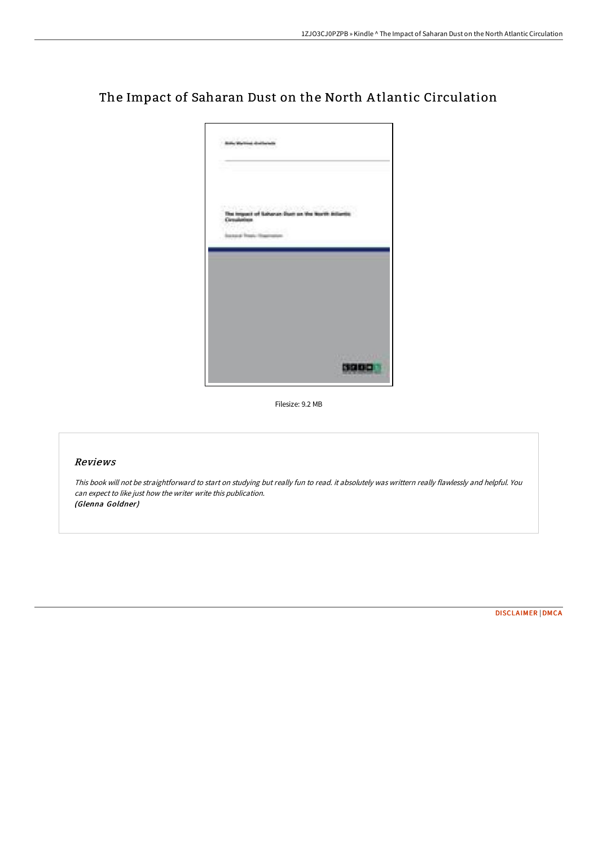

## The Impact of Saharan Dust on the North A tlantic Circulation

Filesize: 9.2 MB

## Reviews

This book will not be straightforward to start on studying but really fun to read. it absolutely was writtern really flawlessly and helpful. You can expect to like just how the writer write this publication. (Glenna Goldner)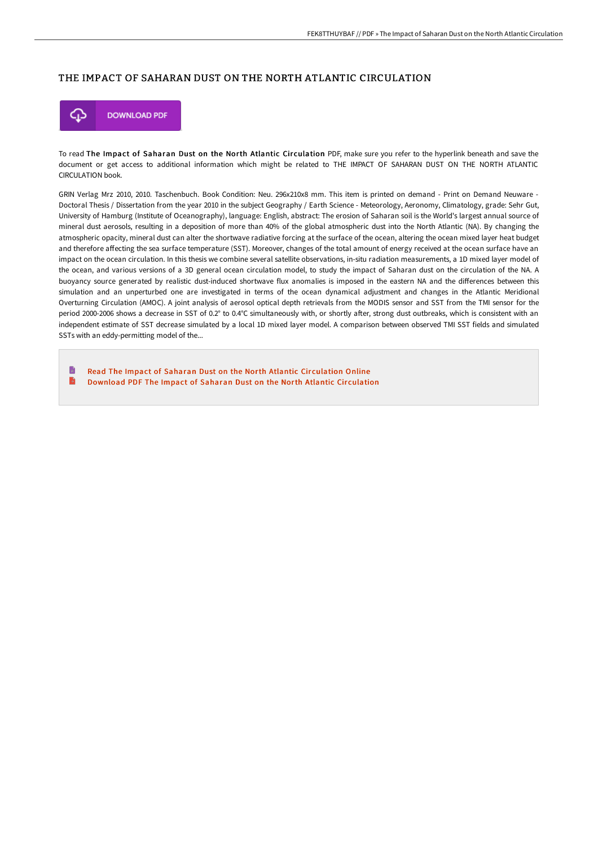## THE IMPACT OF SAHARAN DUST ON THE NORTH ATLANTIC CIRCULATION



To read The Impact of Saharan Dust on the North Atlantic Circulation PDF, make sure you refer to the hyperlink beneath and save the document or get access to additional information which might be related to THE IMPACT OF SAHARAN DUST ON THE NORTH ATLANTIC CIRCULATION book.

GRIN Verlag Mrz 2010, 2010. Taschenbuch. Book Condition: Neu. 296x210x8 mm. This item is printed on demand - Print on Demand Neuware - Doctoral Thesis / Dissertation from the year 2010 in the subject Geography / Earth Science - Meteorology, Aeronomy, Climatology, grade: Sehr Gut, University of Hamburg (Institute of Oceanography), language: English, abstract: The erosion of Saharan soil is the World's largest annual source of mineral dust aerosols, resulting in a deposition of more than 40% of the global atmospheric dust into the North Atlantic (NA). By changing the atmospheric opacity, mineral dust can alter the shortwave radiative forcing at the surface of the ocean, altering the ocean mixed layer heat budget and therefore affecting the sea surface temperature (SST). Moreover, changes of the total amount of energy received at the ocean surface have an impact on the ocean circulation. In this thesis we combine several satellite observations, in-situ radiation measurements, a 1D mixed layer model of the ocean, and various versions of a 3D general ocean circulation model, to study the impact of Saharan dust on the circulation of the NA. A buoyancy source generated by realistic dust-induced shortwave flux anomalies is imposed in the eastern NA and the differences between this simulation and an unperturbed one are investigated in terms of the ocean dynamical adjustment and changes in the Atlantic Meridional Overturning Circulation (AMOC). A joint analysis of aerosol optical depth retrievals from the MODIS sensor and SST from the TMI sensor for the period 2000-2006 shows a decrease in SST of 0.2° to 0.4°C simultaneously with, or shortly after, strong dust outbreaks, which is consistent with an independent estimate of SST decrease simulated by a local 1D mixed layer model. A comparison between observed TMI SST fields and simulated SSTs with an eddy-permitting model of the...

n Read The Impact of [Saharan](http://www.bookdirs.com/the-impact-of-saharan-dust-on-the-north-atlantic.html) Dust on the North Atlantic Circulation Online  $\mathbf{B}$ [Download](http://www.bookdirs.com/the-impact-of-saharan-dust-on-the-north-atlantic.html) PDF The Impact of Saharan Dust on the North Atlantic Circulation